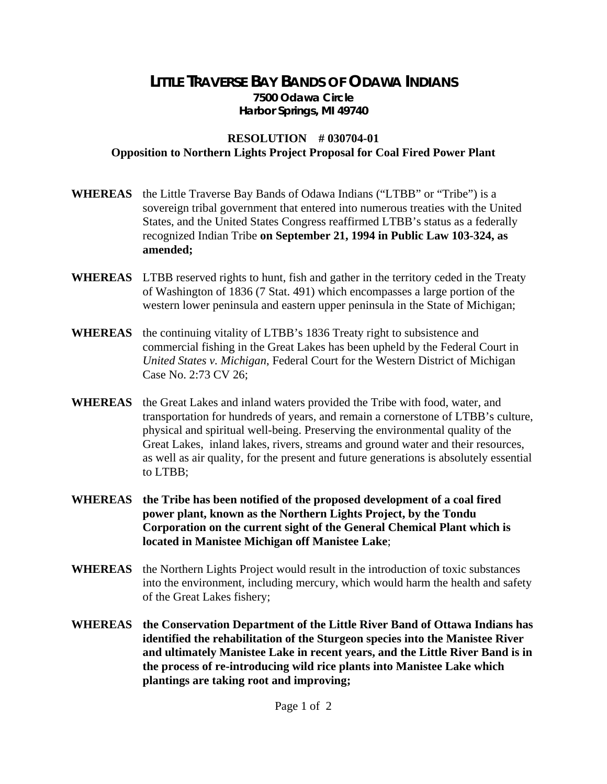## **LITTLE TRAVERSE BAY BANDS OF ODAWA INDIANS 7500 Odawa Circle Harbor Springs, MI 49740**

## **RESOLUTION # 030704-01 Opposition to Northern Lights Project Proposal for Coal Fired Power Plant**

- **WHEREAS** the Little Traverse Bay Bands of Odawa Indians ("LTBB" or "Tribe") is a sovereign tribal government that entered into numerous treaties with the United States, and the United States Congress reaffirmed LTBB's status as a federally recognized Indian Tribe **on September 21, 1994 in Public Law 103-324, as amended;**
- **WHEREAS** LTBB reserved rights to hunt, fish and gather in the territory ceded in the Treaty of Washington of 1836 (7 Stat. 491) which encompasses a large portion of the western lower peninsula and eastern upper peninsula in the State of Michigan;
- **WHEREAS** the continuing vitality of LTBB's 1836 Treaty right to subsistence and commercial fishing in the Great Lakes has been upheld by the Federal Court in *United States v. Michigan*, Federal Court for the Western District of Michigan Case No. 2:73 CV 26;
- **WHEREAS** the Great Lakes and inland waters provided the Tribe with food, water, and transportation for hundreds of years, and remain a cornerstone of LTBB's culture, physical and spiritual well-being. Preserving the environmental quality of the Great Lakes, inland lakes, rivers, streams and ground water and their resources, as well as air quality, for the present and future generations is absolutely essential to LTBB;
- **WHEREAS the Tribe has been notified of the proposed development of a coal fired power plant, known as the Northern Lights Project, by the Tondu Corporation on the current sight of the General Chemical Plant which is located in Manistee Michigan off Manistee Lake**;
- **WHEREAS** the Northern Lights Project would result in the introduction of toxic substances into the environment, including mercury, which would harm the health and safety of the Great Lakes fishery;
- **WHEREAS the Conservation Department of the Little River Band of Ottawa Indians has identified the rehabilitation of the Sturgeon species into the Manistee River and ultimately Manistee Lake in recent years, and the Little River Band is in the process of re-introducing wild rice plants into Manistee Lake which plantings are taking root and improving;**